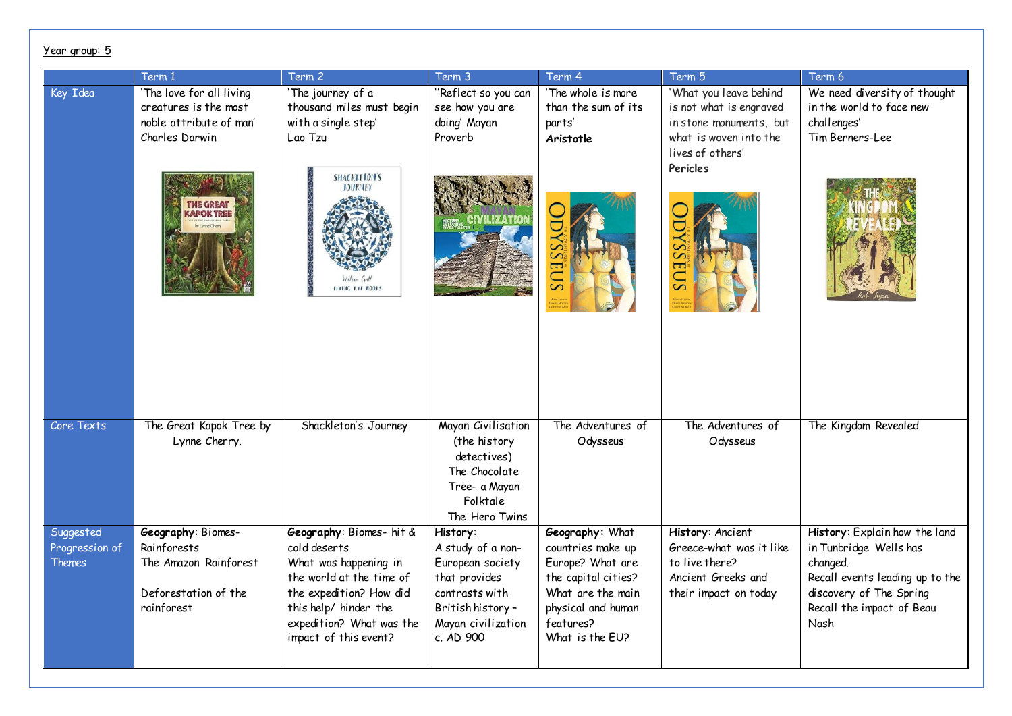|                                              | Term 1                                                                                           | Term 2                                                                                                                                                                                                 | Term 3                                                                                                                                       | Term 4                                                                                                                                                     | Term 5                                                                                                                     | Term 6                                                                                                                                                                 |
|----------------------------------------------|--------------------------------------------------------------------------------------------------|--------------------------------------------------------------------------------------------------------------------------------------------------------------------------------------------------------|----------------------------------------------------------------------------------------------------------------------------------------------|------------------------------------------------------------------------------------------------------------------------------------------------------------|----------------------------------------------------------------------------------------------------------------------------|------------------------------------------------------------------------------------------------------------------------------------------------------------------------|
| Key Idea                                     | 'The love for all living<br>creatures is the most<br>noble attribute of man'<br>Charles Darwin   | 'The journey of a<br>thousand miles must begin<br>with a single step'<br>Lao Tzu                                                                                                                       | "Reflect so you can<br>see how you are<br>doing' Mayan<br>Proverb                                                                            | 'The whole is more<br>than the sum of its<br>parts'<br>Aristotle                                                                                           | 'What you leave behind<br>is not what is engraved<br>in stone monuments, but<br>what is woven into the<br>lives of others' | We need diversity of thought<br>in the world to face new<br>challenges'<br>Tim Berners-Lee                                                                             |
|                                              | <b>THE GREAT</b><br><b>APOK TREE</b>                                                             | <b>SHACKLETON'S</b><br><b>JOURNEY</b><br>FLYING EYE BOOKS                                                                                                                                              |                                                                                                                                              |                                                                                                                                                            | Pericles<br>Ε                                                                                                              |                                                                                                                                                                        |
| Core Texts                                   | The Great Kapok Tree by<br>Lynne Cherry.                                                         | Shackleton's Journey                                                                                                                                                                                   | Mayan Civilisation<br>(the history<br>detectives)<br>The Chocolate<br>Tree- a Mayan<br>Folktale<br>The Hero Twins                            | The Adventures of<br>Odysseus                                                                                                                              | The Adventures of<br>Odysseus                                                                                              | The Kingdom Revealed                                                                                                                                                   |
| Suggested<br>Progression of<br><b>Themes</b> | Geography: Biomes-<br>Rainforests<br>The Amazon Rainforest<br>Deforestation of the<br>rainforest | Geography: Biomes- hit &<br>cold deserts<br>What was happening in<br>the world at the time of<br>the expedition? How did<br>this help/ hinder the<br>expedition? What was the<br>impact of this event? | History:<br>A study of a non-<br>European society<br>that provides<br>contrasts with<br>British history -<br>Mayan civilization<br>c. AD 900 | Geography: What<br>countries make up<br>Europe? What are<br>the capital cities?<br>What are the main<br>physical and human<br>features?<br>What is the EU? | History: Ancient<br>Greece-what was it like<br>to live there?<br>Ancient Greeks and<br>their impact on today               | History: Explain how the land<br>in Tunbridge Wells has<br>changed.<br>Recall events leading up to the<br>discovery of The Spring<br>Recall the impact of Beau<br>Nash |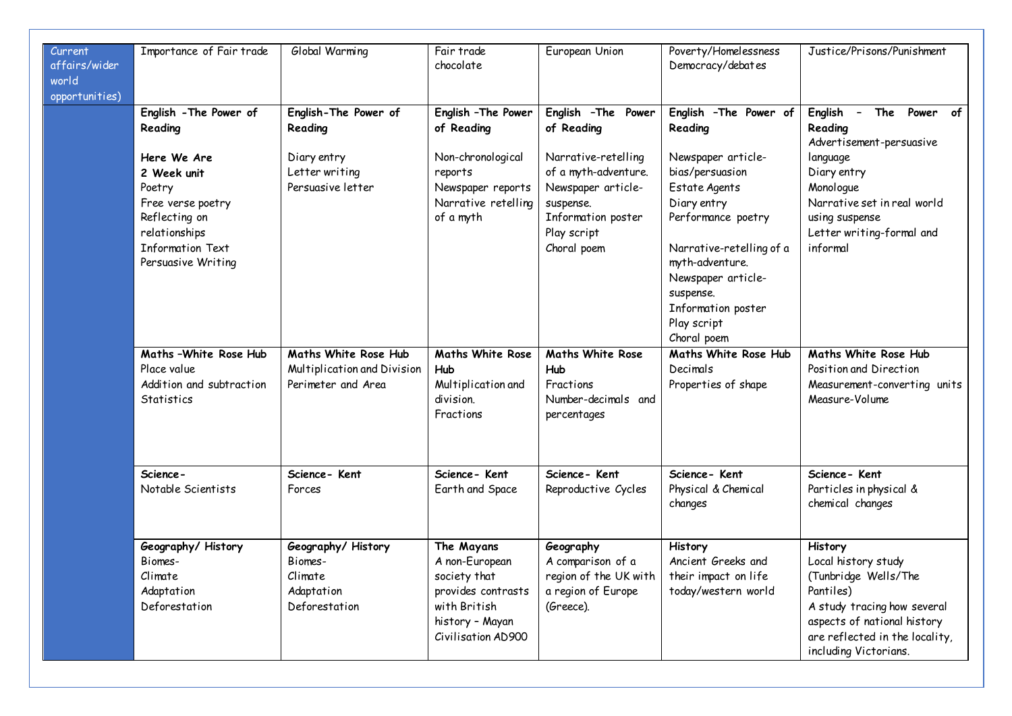| Current<br>affairs/wider<br>world<br>opportunities) | Importance of Fair trade                                                                                                                                                   | Global Warming                                                                        | Fair trade<br>chocolate                                                                                                     | European Union                                                                                                                                                          | Poverty/Homelessness<br>Democracy/debates                                                                                                                                                                                                                              | Justice/Prisons/Punishment                                                                                                                                                                         |
|-----------------------------------------------------|----------------------------------------------------------------------------------------------------------------------------------------------------------------------------|---------------------------------------------------------------------------------------|-----------------------------------------------------------------------------------------------------------------------------|-------------------------------------------------------------------------------------------------------------------------------------------------------------------------|------------------------------------------------------------------------------------------------------------------------------------------------------------------------------------------------------------------------------------------------------------------------|----------------------------------------------------------------------------------------------------------------------------------------------------------------------------------------------------|
|                                                     | English - The Power of<br>Reading<br>Here We Are<br>2 Week unit<br>Poetry<br>Free verse poetry<br>Reflecting on<br>relationships<br>Information Text<br>Persuasive Writing | English-The Power of<br>Reading<br>Diary entry<br>Letter writing<br>Persuasive letter | English - The Power<br>of Reading<br>Non-chronological<br>reports<br>Newspaper reports<br>Narrative retelling<br>of a myth  | English - The Power<br>of Reading<br>Narrative-retelling<br>of a myth-adventure.<br>Newspaper article-<br>suspense.<br>Information poster<br>Play script<br>Choral poem | English - The Power of<br>Reading<br>Newspaper article-<br>bias/persuasion<br>Estate Agents<br>Diary entry<br>Performance poetry<br>Narrative-retelling of a<br>myth-adventure.<br>Newspaper article-<br>suspense.<br>Information poster<br>Play script<br>Choral poem | English -<br>The Power of<br>Reading<br>Advertisement-persuasive<br>language<br>Diary entry<br>Monologue<br>Narrative set in real world<br>using suspense<br>Letter writing-formal and<br>informal |
|                                                     | Maths-White Rose Hub<br>Place value<br>Addition and subtraction<br><b>Statistics</b>                                                                                       | Maths White Rose Hub<br>Multiplication and Division<br>Perimeter and Area             | <b>Maths White Rose</b><br><b>Hub</b><br>Multiplication and<br>division.<br>Fractions                                       | <b>Maths White Rose</b><br>Hub<br>Fractions<br>Number-decimals and<br>percentages                                                                                       | Maths White Rose Hub<br>Decimals<br>Properties of shape                                                                                                                                                                                                                | Maths White Rose Hub<br>Position and Direction<br>Measurement-converting units<br>Measure-Volume                                                                                                   |
|                                                     | Science-<br>Notable Scientists                                                                                                                                             | Science-Kent<br>Forces                                                                | Science-Kent<br>Earth and Space                                                                                             | Science-Kent<br>Reproductive Cycles                                                                                                                                     | Science-Kent<br>Physical & Chemical<br>changes                                                                                                                                                                                                                         | Science-Kent<br>Particles in physical &<br>chemical changes                                                                                                                                        |
|                                                     | Geography/History<br>Biomes-<br>Climate<br>Adaptation<br>Deforestation                                                                                                     | Geography/History<br>Biomes-<br>Climate<br>Adaptation<br>Deforestation                | The Mayans<br>A non-European<br>society that<br>provides contrasts<br>with British<br>history - Mayan<br>Civilisation AD900 | Geography<br>A comparison of a<br>region of the UK with<br>a region of Europe<br>(Greece).                                                                              | History<br>Ancient Greeks and<br>their impact on life<br>today/western world                                                                                                                                                                                           | History<br>Local history study<br>(Tunbridge Wells/The<br>Pantiles)<br>A study tracing how several<br>aspects of national history<br>are reflected in the locality,<br>including Victorians.       |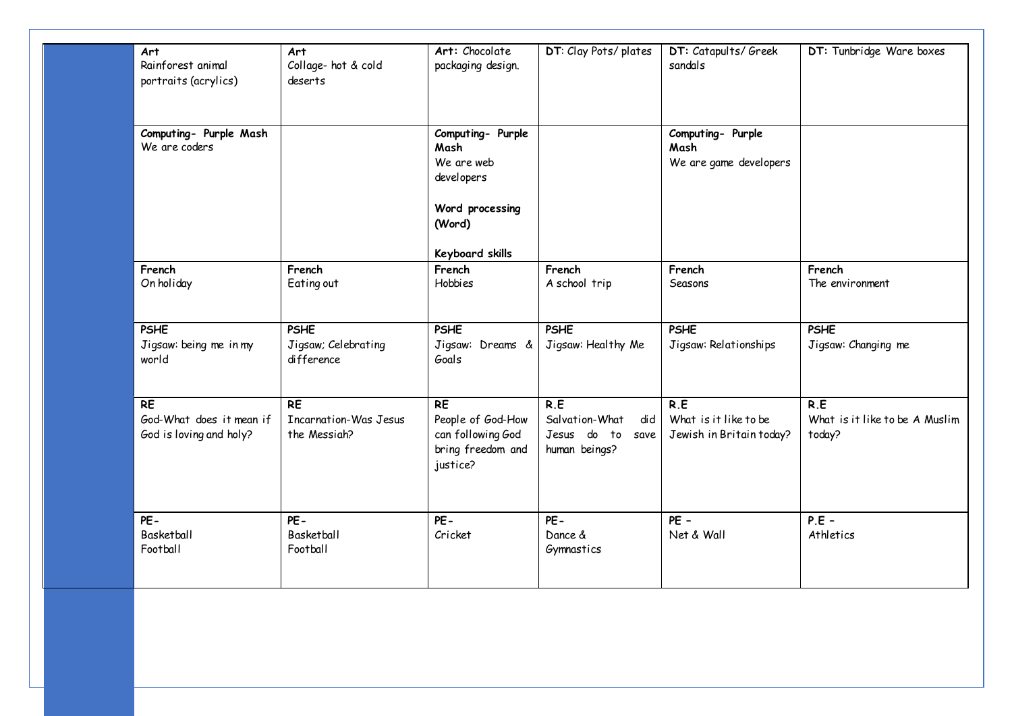| Art<br>Rainforest animal<br>portraits (acrylics)                 | Art<br>Collage- hot & cold<br>deserts                          | Art: Chocolate<br>packaging design.                                                  | DT: Clay Pots/plates                                              | DT: Catapults/ Greek<br>sandals                          | DT: Tunbridge Ware boxes                        |
|------------------------------------------------------------------|----------------------------------------------------------------|--------------------------------------------------------------------------------------|-------------------------------------------------------------------|----------------------------------------------------------|-------------------------------------------------|
| Computing- Purple Mash<br>We are coders                          |                                                                | Computing- Purple<br>Mash<br>We are web<br>developers<br>Word processing<br>(Word)   |                                                                   | Computing- Purple<br>Mash<br>We are game developers      |                                                 |
| French                                                           | French                                                         | <b>Keyboard skills</b><br>French                                                     | French                                                            | French                                                   | French                                          |
| On holiday                                                       | Eating out                                                     | Hobbies                                                                              | A school trip                                                     | Seasons                                                  | The environment                                 |
| <b>PSHE</b><br>Jigsaw: being me in my<br>world                   | <b>PSHE</b><br>Jigsaw; Celebrating<br>difference               | <b>PSHE</b><br>Jigsaw: Dreams &<br>Goals                                             | <b>PSHE</b><br>Jigsaw: Healthy Me                                 | <b>PSHE</b><br>Jigsaw: Relationships                     | <b>PSHE</b><br>Jigsaw: Changing me              |
| <b>RE</b><br>God-What does it mean if<br>God is loving and holy? | R <sub>E</sub><br><b>Incarnation-Was Jesus</b><br>the Messiah? | <b>RE</b><br>People of God-How<br>can following God<br>bring freedom and<br>justice? | R.E<br>Salvation-What<br>did<br>Jesus do to save<br>human beings? | R.E<br>What is it like to be<br>Jewish in Britain today? | R.E<br>What is it like to be A Muslim<br>today? |
| PE-<br>Basketball<br>Football                                    | PE-<br>Basketball<br>Football                                  | PE-<br>Cricket                                                                       | $PE -$<br>Dance &<br>Gymnastics                                   | $PE -$<br>Net & Wall                                     | $P.E -$<br>Athletics                            |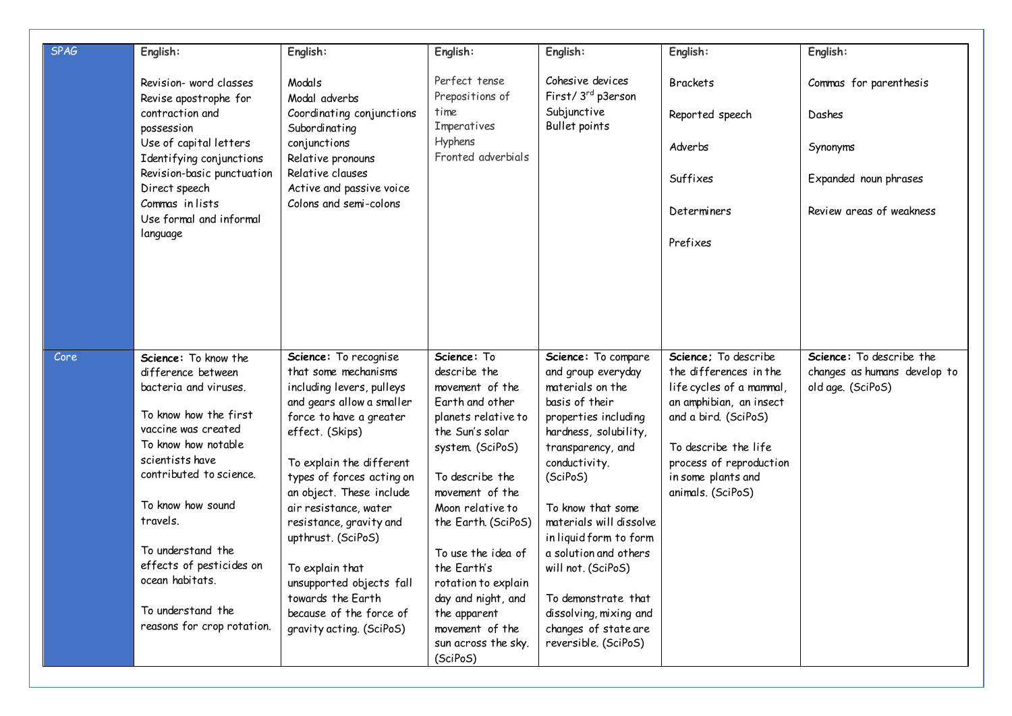| <b>SPAG</b> | English:                                                                                                                                                                                                      | English:                                                                                                                                                                                                                                   | English:                                                                                                                                                             | English:                                                                                                                                                                           | English:                                                                                                                                                                                                                    | English:                                                                      |
|-------------|---------------------------------------------------------------------------------------------------------------------------------------------------------------------------------------------------------------|--------------------------------------------------------------------------------------------------------------------------------------------------------------------------------------------------------------------------------------------|----------------------------------------------------------------------------------------------------------------------------------------------------------------------|------------------------------------------------------------------------------------------------------------------------------------------------------------------------------------|-----------------------------------------------------------------------------------------------------------------------------------------------------------------------------------------------------------------------------|-------------------------------------------------------------------------------|
|             | Revision- word classes<br>Revise apostrophe for                                                                                                                                                               | Modals<br>Modal adverbs                                                                                                                                                                                                                    | Perfect tense<br>Prepositions of<br>time                                                                                                                             | Cohesive devices<br>First/3 <sup>rd</sup> p3erson<br>Subjunctive                                                                                                                   | <b>Brackets</b>                                                                                                                                                                                                             | Commas for parenthesis                                                        |
|             | contraction and<br>possession                                                                                                                                                                                 | Coordinating conjunctions<br>Subordinating                                                                                                                                                                                                 | Imperatives<br>Hyphens                                                                                                                                               | Bullet points                                                                                                                                                                      | Reported speech                                                                                                                                                                                                             | Dashes                                                                        |
|             | Use of capital letters<br>Identifying conjunctions<br>Revision-basic punctuation                                                                                                                              | conjunctions<br>Relative pronouns<br>Relative clauses                                                                                                                                                                                      | Fronted adverbials                                                                                                                                                   |                                                                                                                                                                                    | Adverbs                                                                                                                                                                                                                     | Synonyms                                                                      |
|             | Direct speech                                                                                                                                                                                                 | Active and passive voice                                                                                                                                                                                                                   |                                                                                                                                                                      |                                                                                                                                                                                    | Suffixes                                                                                                                                                                                                                    | Expanded noun phrases                                                         |
|             | Commas in lists<br>Use formal and informal                                                                                                                                                                    | Colons and semi-colons                                                                                                                                                                                                                     |                                                                                                                                                                      |                                                                                                                                                                                    | Determiners                                                                                                                                                                                                                 | Review areas of weakness                                                      |
|             | language                                                                                                                                                                                                      |                                                                                                                                                                                                                                            |                                                                                                                                                                      |                                                                                                                                                                                    | Prefixes                                                                                                                                                                                                                    |                                                                               |
|             |                                                                                                                                                                                                               |                                                                                                                                                                                                                                            |                                                                                                                                                                      |                                                                                                                                                                                    |                                                                                                                                                                                                                             |                                                                               |
|             |                                                                                                                                                                                                               |                                                                                                                                                                                                                                            |                                                                                                                                                                      |                                                                                                                                                                                    |                                                                                                                                                                                                                             |                                                                               |
|             |                                                                                                                                                                                                               |                                                                                                                                                                                                                                            |                                                                                                                                                                      |                                                                                                                                                                                    |                                                                                                                                                                                                                             |                                                                               |
| Core        | Science: To know the<br>difference between<br>bacteria and viruses.<br>To know how the first<br>vaccine was created<br>To know how notable<br>scientists have<br>contributed to science.<br>To know how sound | Science: To recognise<br>that some mechanisms<br>including levers, pulleys<br>and gears allow a smaller<br>force to have a greater<br>effect. (Skips)<br>To explain the different<br>types of forces acting on<br>an object. These include | Science: To<br>describe the<br>movement of the<br>Earth and other<br>planets relative to<br>the Sun's solar<br>system (SciPoS)<br>To describe the<br>movement of the | Science: To compare<br>and group everyday<br>materials on the<br>basis of their<br>properties including<br>hardness, solubility,<br>transparency, and<br>conductivity.<br>(SciPoS) | Science: To describe<br>the differences in the<br>life cycles of a mammal,<br>an amphibian, an insect<br>and a bird. (SciPoS)<br>To describe the life<br>process of reproduction<br>in some plants and<br>animals. (SciPoS) | Science: To describe the<br>changes as humans develop to<br>old age. (SciPoS) |
|             | travels.                                                                                                                                                                                                      | air resistance, water<br>resistance, gravity and<br>upthrust. (SciPoS)                                                                                                                                                                     | Moon relative to<br>the Earth. (SciPoS)                                                                                                                              | To know that some<br>materials will dissolve<br>in liquid form to form                                                                                                             |                                                                                                                                                                                                                             |                                                                               |
|             | To understand the<br>effects of pesticides on<br>ocean habitats.                                                                                                                                              | To explain that<br>unsupported objects fall<br>towards the Earth                                                                                                                                                                           | To use the idea of<br>the Earth's<br>rotation to explain<br>day and night, and                                                                                       | a solution and others<br>will not. (SciPoS)<br>To demonstrate that                                                                                                                 |                                                                                                                                                                                                                             |                                                                               |
|             | To understand the<br>reasons for crop rotation.                                                                                                                                                               | because of the force of<br>gravity acting. (SciPoS)                                                                                                                                                                                        | the apparent<br>movement of the<br>sun across the sky.<br>(SciPoS)                                                                                                   | dissolving, mixing and<br>changes of state are<br>reversible. (SciPoS)                                                                                                             |                                                                                                                                                                                                                             |                                                                               |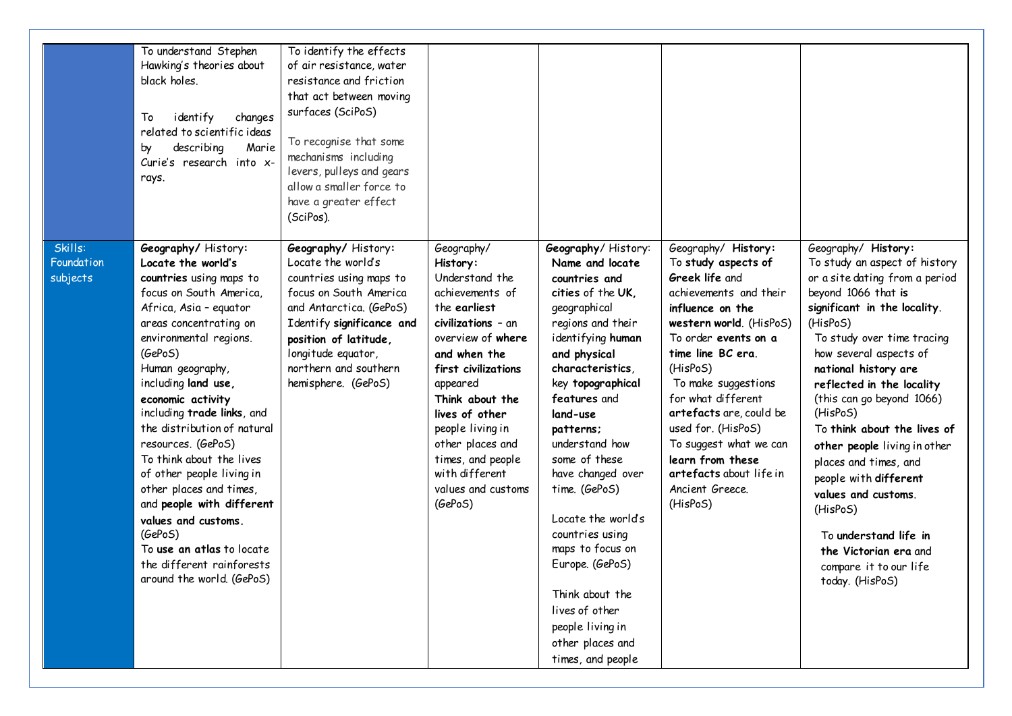|                                   | To understand Stephen<br>Hawking's theories about<br>black holes.<br>To<br>identify<br>changes<br>related to scientific ideas<br>Marie<br>describing<br>by<br>Curie's research into x-<br>rays.                                                                                                                                                                                                                                                                                                                                                                                      | To identify the effects<br>of air resistance, water<br>resistance and friction<br>that act between moving<br>surfaces (SciPoS)<br>To recognise that some<br>mechanisms including<br>levers, pulleys and gears<br>allow a smaller force to<br>have a greater effect<br>(SciPos). |                                                                                                                                                                                                                                                                                                                                |                                                                                                                                                                                                                                                                                                                                                                                                                                                                                                    |                                                                                                                                                                                                                                                                                                                                                                                                      |                                                                                                                                                                                                                                                                                                                                                                                                                                                                                                                                                                    |
|-----------------------------------|--------------------------------------------------------------------------------------------------------------------------------------------------------------------------------------------------------------------------------------------------------------------------------------------------------------------------------------------------------------------------------------------------------------------------------------------------------------------------------------------------------------------------------------------------------------------------------------|---------------------------------------------------------------------------------------------------------------------------------------------------------------------------------------------------------------------------------------------------------------------------------|--------------------------------------------------------------------------------------------------------------------------------------------------------------------------------------------------------------------------------------------------------------------------------------------------------------------------------|----------------------------------------------------------------------------------------------------------------------------------------------------------------------------------------------------------------------------------------------------------------------------------------------------------------------------------------------------------------------------------------------------------------------------------------------------------------------------------------------------|------------------------------------------------------------------------------------------------------------------------------------------------------------------------------------------------------------------------------------------------------------------------------------------------------------------------------------------------------------------------------------------------------|--------------------------------------------------------------------------------------------------------------------------------------------------------------------------------------------------------------------------------------------------------------------------------------------------------------------------------------------------------------------------------------------------------------------------------------------------------------------------------------------------------------------------------------------------------------------|
| Skills:<br>Foundation<br>subjects | Geography/History:<br>Locate the world's<br>countries using maps to<br>focus on South America,<br>Africa, Asia - equator<br>areas concentrating on<br>environmental regions.<br>(GePoS)<br>Human geography,<br>including land use,<br>economic activity<br>including trade links, and<br>the distribution of natural<br>resources. (GePoS)<br>To think about the lives<br>of other people living in<br>other places and times,<br>and people with different<br>values and customs.<br>(GePoS)<br>To use an atlas to locate<br>the different rainforests<br>around the world. (GePoS) | Geography/ History:<br>Locate the world's<br>countries using maps to<br>focus on South America<br>and Antarctica. (GePoS)<br>Identify significance and<br>position of latitude,<br>longitude equator,<br>northern and southern<br>hemisphere. (GePoS)                           | Geography/<br>History:<br>Understand the<br>achievements of<br>the earliest<br>civilizations - an<br>overview of where<br>and when the<br>first civilizations<br>appeared<br>Think about the<br>lives of other<br>people living in<br>other places and<br>times, and people<br>with different<br>values and customs<br>(GePoS) | Geography/History:<br>Name and locate<br>countries and<br>cities of the UK.<br>geographical<br>regions and their<br>identifying human<br>and physical<br>characteristics,<br>key topographical<br>features and<br>land-use<br>patterns;<br>understand how<br>some of these<br>have changed over<br>time. (GePoS)<br>Locate the world's<br>countries using<br>maps to focus on<br>Europe. (GePoS)<br>Think about the<br>lives of other<br>people living in<br>other places and<br>times, and people | Geography/ History:<br>To study aspects of<br>Greek life and<br>achievements and their<br>influence on the<br>western world. (HisPoS)<br>To order events on a<br>time line BC era.<br>(HisPoS)<br>To make suggestions<br>for what different<br>artefacts are, could be<br>used for. (HisPoS)<br>To suggest what we can<br>learn from these<br>artefacts about life in<br>Ancient Greece.<br>(HisPoS) | Geography/ History:<br>To study an aspect of history<br>or a site dating from a period<br>beyond 1066 that is<br>significant in the locality.<br>(HisPoS)<br>To study over time tracing<br>how several aspects of<br>national history are<br>reflected in the locality<br>(this can go beyond 1066)<br>(HisPoS)<br>To think about the lives of<br>other people living in other<br>places and times, and<br>people with different<br>values and customs.<br>(HisPoS)<br>To understand life in<br>the Victorian era and<br>compare it to our life<br>today. (HisPoS) |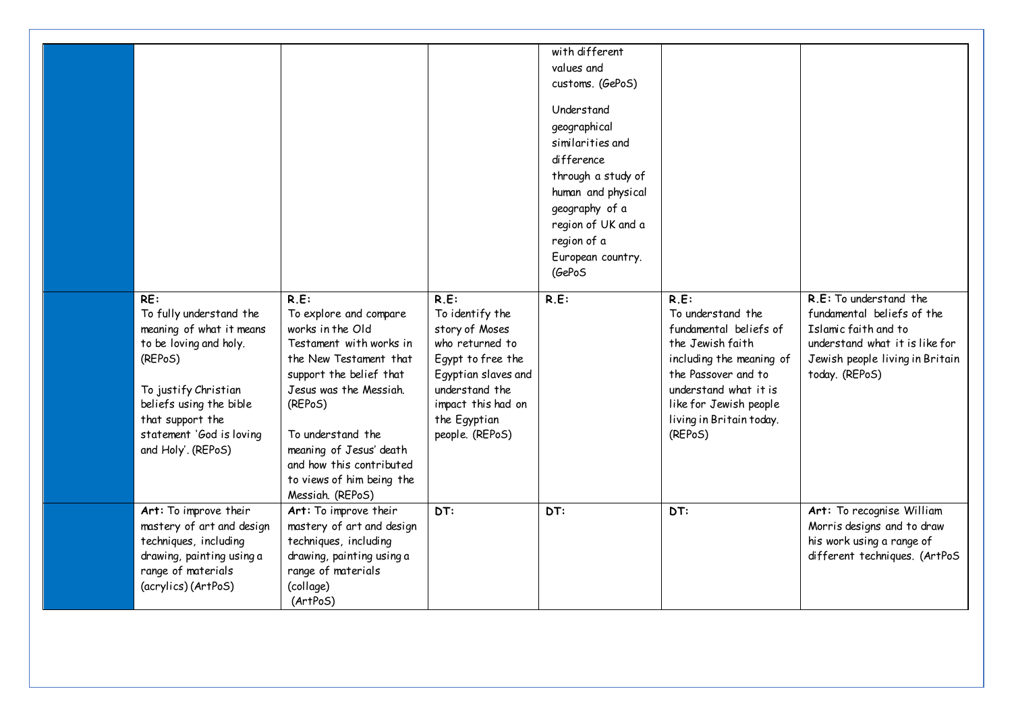| RE:<br>To fully understand the<br>meaning of what it means<br>to be loving and holy.<br>(REPoS)<br>To justify Christian<br>beliefs using the bible<br>that support the<br>statement 'God is loving<br>and Holy'. (REPoS) | R.E:<br>To explore and compare<br>works in the Old<br>Testament with works in<br>the New Testament that<br>support the belief that<br>Jesus was the Messiah.<br>(REPoS)<br>To understand the<br>meaning of Jesus' death<br>and how this contributed<br>to views of him being the<br>Messiah. (REPoS) | $R.E$ :<br>To identify the<br>story of Moses<br>who returned to<br>Egypt to free the<br>Egyptian slaves and<br>understand the<br>impact this had on<br>the Egyptian<br>people. (REPoS) | with different<br>values and<br>customs. (GePoS)<br>Understand<br>geographical<br>similarities and<br>difference<br>through a study of<br>human and physical<br>geography of a<br>region of UK and a<br>region of a<br>European country.<br>(GePoS<br>$R.E$ : | $R.E$ :<br>To understand the<br>fundamental beliefs of<br>the Jewish faith<br>including the meaning of<br>the Passover and to<br>understand what it is<br>like for Jewish people<br>living in Britain today.<br>(REPoS) | R.E: To understand the<br>fundamental beliefs of the<br>Islamic faith and to<br>understand what it is like for<br>Jewish people living in Britain<br>today. (REPoS) |
|--------------------------------------------------------------------------------------------------------------------------------------------------------------------------------------------------------------------------|------------------------------------------------------------------------------------------------------------------------------------------------------------------------------------------------------------------------------------------------------------------------------------------------------|----------------------------------------------------------------------------------------------------------------------------------------------------------------------------------------|---------------------------------------------------------------------------------------------------------------------------------------------------------------------------------------------------------------------------------------------------------------|-------------------------------------------------------------------------------------------------------------------------------------------------------------------------------------------------------------------------|---------------------------------------------------------------------------------------------------------------------------------------------------------------------|
| Art: To improve their<br>mastery of art and design<br>techniques, including<br>drawing, painting using a<br>range of materials<br>(acrylics) (ArtPoS)                                                                    | Art: To improve their<br>mastery of art and design<br>techniques, including<br>drawing, painting using a<br>range of materials<br>(collage)<br>(ArtPoS)                                                                                                                                              | DT:                                                                                                                                                                                    | DT:                                                                                                                                                                                                                                                           | DT:                                                                                                                                                                                                                     | Art: To recognise William<br>Morris designs and to draw<br>his work using a range of<br>different techniques. (ArtPoS                                               |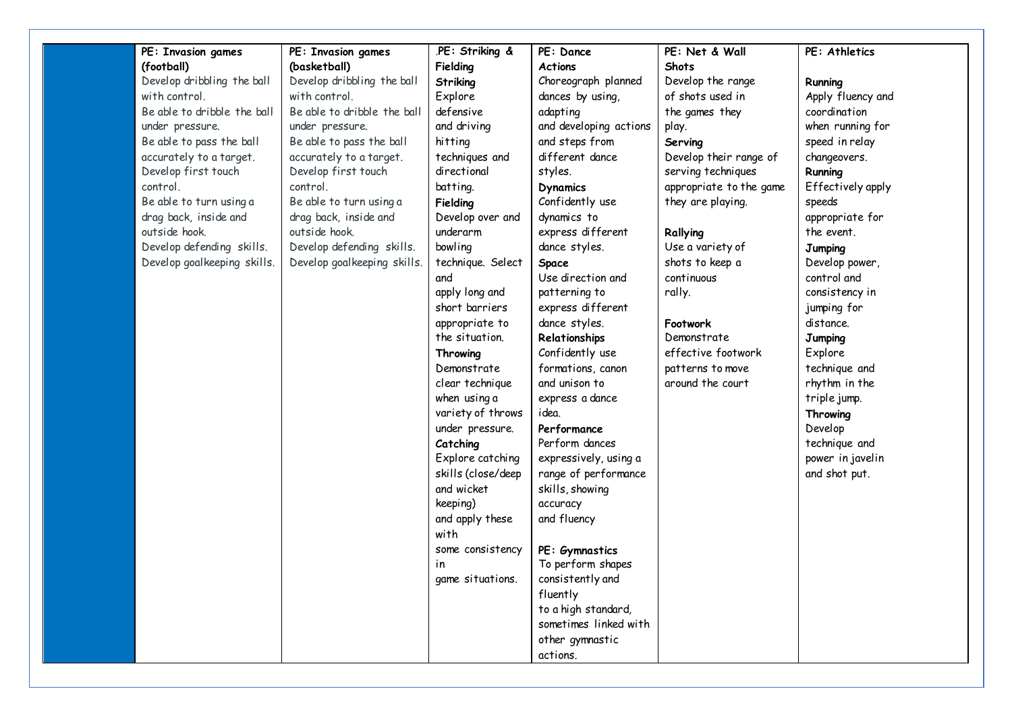| .PE: Striking &<br>PE: Invasion games<br><b>PE: Invasion games</b><br>PE: Dance<br>PE: Net & Wall<br>(football)<br>(basketball)<br>Fielding<br><b>Actions</b><br><b>Shots</b> | PE: Athletics     |
|-------------------------------------------------------------------------------------------------------------------------------------------------------------------------------|-------------------|
| Develop dribbling the ball<br>Develop dribbling the ball<br>Choreograph planned<br>Develop the range<br>Striking                                                              | Running           |
| with control.<br>of shots used in<br>with control.<br>dances by using,<br>Explore                                                                                             | Apply fluency and |
| Be able to dribble the ball<br>Be able to dribble the ball<br>defensive<br>adapting<br>the games they                                                                         | coordination      |
| and driving<br>and developing actions<br>under pressure.<br>under pressure.<br>play.                                                                                          | when running for  |
| Be able to pass the ball<br>Be able to pass the ball<br>hitting<br>and steps from<br>Serving                                                                                  | speed in relay    |
| accurately to a target.<br>accurately to a target.<br>techniques and<br>different dance<br>Develop their range of                                                             | changeovers.      |
| directional<br>Develop first touch<br>Develop first touch<br>styles.<br>serving techniques                                                                                    | Running           |
| control.<br>control.<br>batting.<br>appropriate to the game<br><b>Dynamics</b>                                                                                                | Effectively apply |
| Confidently use<br>Be able to turn using a<br>Be able to turn using a<br>they are playing.<br>Fielding                                                                        | speeds            |
| drag back, inside and<br>drag back, inside and<br>Develop over and<br>dynamics to                                                                                             | appropriate for   |
| outside hook.<br>outside hook.<br>underarm<br>express different<br>Rallying                                                                                                   | the event.        |
| Develop defending skills.<br>Develop defending skills.<br>bowling<br>Use a variety of<br>dance styles.                                                                        | <b>Jumping</b>    |
| Develop goalkeeping skills.<br>Develop goalkeeping skills.<br>technique. Select<br>shots to keep a<br><b>Space</b>                                                            | Develop power,    |
| Use direction and<br>continuous<br>and                                                                                                                                        | control and       |
| apply long and<br>rally.<br>patterning to                                                                                                                                     | consistency in    |
| short barriers<br>express different                                                                                                                                           | jumping for       |
| dance styles.<br>appropriate to<br>Footwork                                                                                                                                   | distance.         |
| the situation.<br>Demonstrate<br>Relationships                                                                                                                                | Jumping           |
| Confidently use<br>effective footwork<br>Throwing                                                                                                                             | Explore           |
| formations, canon<br>Demonstrate<br>patterns to move                                                                                                                          | technique and     |
| around the court<br>clear technique<br>and unison to                                                                                                                          | rhythm in the     |
| when using a<br>express a dance                                                                                                                                               | triple jump.      |
| variety of throws<br>idea.                                                                                                                                                    | Throwing          |
| under pressure.<br>Performance                                                                                                                                                | Develop           |
| Perform dances<br>Catching                                                                                                                                                    | technique and     |
| expressively, using a<br>Explore catching                                                                                                                                     | power in javelin  |
| skills (close/deep<br>range of performance                                                                                                                                    | and shot put.     |
| and wicket<br>skills, showing                                                                                                                                                 |                   |
| keeping)<br>accuracy                                                                                                                                                          |                   |
| and apply these<br>and fluency                                                                                                                                                |                   |
| with                                                                                                                                                                          |                   |
| some consistency<br>PE: Gymnastics                                                                                                                                            |                   |
| To perform shapes<br>in                                                                                                                                                       |                   |
| consistently and<br>game situations.                                                                                                                                          |                   |
| fluently                                                                                                                                                                      |                   |
| to a high standard,                                                                                                                                                           |                   |
| sometimes linked with                                                                                                                                                         |                   |
| other gymnastic                                                                                                                                                               |                   |
| actions.                                                                                                                                                                      |                   |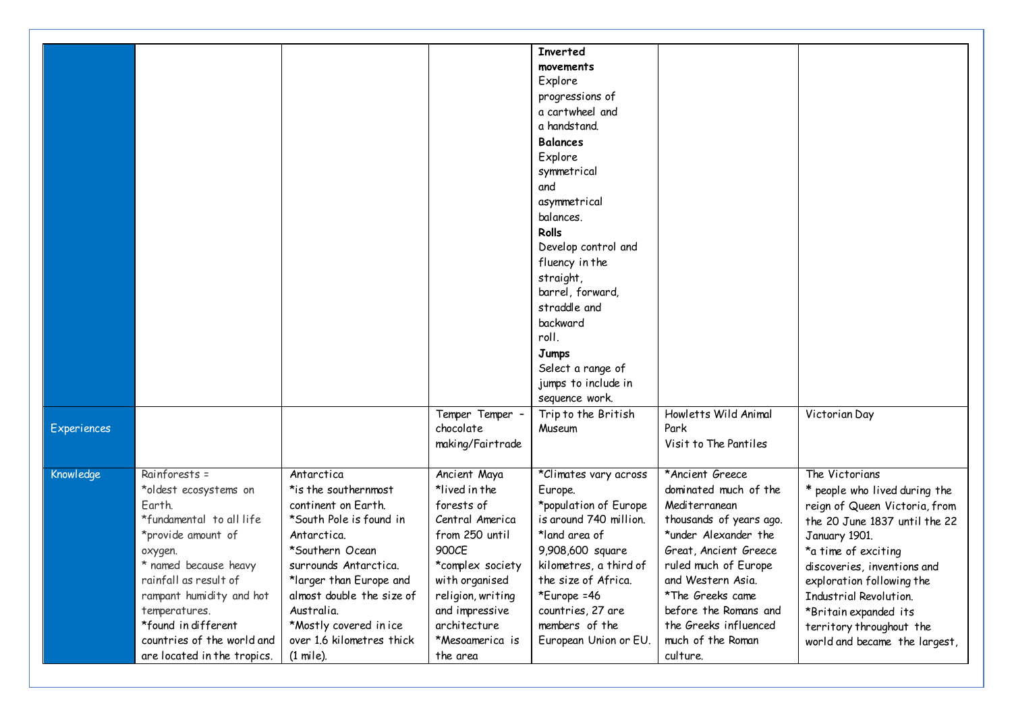|             |                             |                           |                   | <b>Inverted</b>        |                         |                               |
|-------------|-----------------------------|---------------------------|-------------------|------------------------|-------------------------|-------------------------------|
|             |                             |                           |                   | movements              |                         |                               |
|             |                             |                           |                   | Explore                |                         |                               |
|             |                             |                           |                   | progressions of        |                         |                               |
|             |                             |                           |                   | a cartwheel and        |                         |                               |
|             |                             |                           |                   | a handstand.           |                         |                               |
|             |                             |                           |                   | <b>Balances</b>        |                         |                               |
|             |                             |                           |                   | Explore                |                         |                               |
|             |                             |                           |                   | symmetrical            |                         |                               |
|             |                             |                           |                   | and                    |                         |                               |
|             |                             |                           |                   | asymmetrical           |                         |                               |
|             |                             |                           |                   | balances.              |                         |                               |
|             |                             |                           |                   | Rolls                  |                         |                               |
|             |                             |                           |                   | Develop control and    |                         |                               |
|             |                             |                           |                   | fluency in the         |                         |                               |
|             |                             |                           |                   | straight,              |                         |                               |
|             |                             |                           |                   | barrel, forward,       |                         |                               |
|             |                             |                           |                   | straddle and           |                         |                               |
|             |                             |                           |                   | backward               |                         |                               |
|             |                             |                           |                   | roll.                  |                         |                               |
|             |                             |                           |                   | Jumps                  |                         |                               |
|             |                             |                           |                   | Select a range of      |                         |                               |
|             |                             |                           |                   | jumps to include in    |                         |                               |
|             |                             |                           |                   | sequence work.         |                         |                               |
|             |                             |                           | Temper Temper -   | Trip to the British    | Howletts Wild Animal    | Victorian Day                 |
| Experiences |                             |                           | chocolate         | Museum                 | Park                    |                               |
|             |                             |                           | making/Fairtrade  |                        | Visit to The Pantiles   |                               |
|             |                             |                           |                   |                        |                         |                               |
| Knowledge   | Rainforests =               | Antarctica                | Ancient Maya      | *Climates vary across  | *Ancient Greece         | The Victorians                |
|             | *oldest ecosystems on       | *is the southernmost      | *lived in the     | Europe.                | dominated much of the   | * people who lived during the |
|             | Earth.                      | continent on Earth.       | forests of        | *population of Europe  | Mediterranean           | reign of Queen Victoria, from |
|             | *fundamental to all life    | *South Pole is found in   | Central America   | is around 740 million. | thousands of years ago. | the 20 June 1837 until the 22 |
|             | *provide amount of          | Antarctica.               | from 250 until    | *land area of          | *under Alexander the    | January 1901.                 |
|             | oxygen.                     | *Southern Ocean           | 900CE             | 9,908,600 square       | Great, Ancient Greece   | *a time of exciting           |
|             | * named because heavy       | surrounds Antarctica.     | *complex society  | kilometres, a third of | ruled much of Europe    | discoveries, inventions and   |
|             | rainfall as result of       | *larger than Europe and   | with organised    | the size of Africa.    | and Western Asia.       | exploration following the     |
|             | rampant humidity and hot    | almost double the size of | religion, writing | *Europe = 46           | *The Greeks came        | Industrial Revolution.        |
|             | temperatures.               | Australia.                | and impressive    | countries, 27 are      | before the Romans and   | *Britain expanded its         |
|             | *found in different         | *Mostly covered in ice    | architecture      | members of the         | the Greeks influenced   | territory throughout the      |
|             | countries of the world and  | over 1.6 kilometres thick | *Mesoamerica is   | European Union or EU.  | much of the Roman       | world and became the largest, |
|             | are located in the tropics. | $(1 \text{ mile})$ .      | the area          |                        | culture.                |                               |
|             |                             |                           |                   |                        |                         |                               |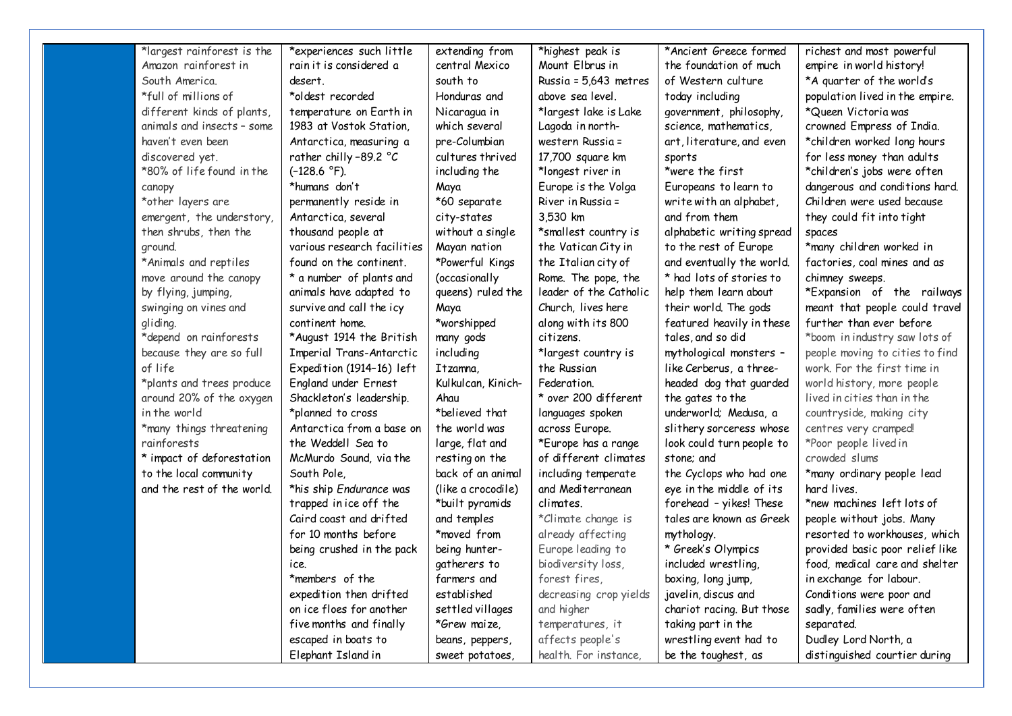| *largest rainforest is the | *experiences such little    | extending from     | *highest peak is       | *Ancient Greece formed    | richest and most powerful       |
|----------------------------|-----------------------------|--------------------|------------------------|---------------------------|---------------------------------|
| Amazon rainforest in       | rain it is considered a     | central Mexico     | Mount Elbrus in        | the foundation of much    | empire in world history!        |
| South America.             | desert.                     | south to           | Russia = 5,643 metres  | of Western culture        | *A quarter of the world's       |
| *full of millions of       | *oldest recorded            | Honduras and       | above sea level.       | today including           | population lived in the empire. |
| different kinds of plants, | temperature on Earth in     | Nicaragua in       | *largest lake is Lake  | government, philosophy,   | *Queen Victoria was             |
| animals and insects - some | 1983 at Vostok Station,     | which several      | Lagoda in north-       | science, mathematics,     | crowned Empress of India.       |
| haven't even been          | Antarctica, measuring a     | pre-Columbian      | western Russia =       | art, literature, and even | *children worked long hours     |
| discovered yet.            | rather chilly-89.2 °C       | cultures thrived   | 17,700 square km       | sports                    | for less money than adults      |
| *80% of life found in the  | $(-128.6 °F)$ .             | including the      | *longest river in      | *were the first           | *children's jobs were often     |
| canopy                     | *humans don't               | Maya               | Europe is the Volga    | Europeans to learn to     | dangerous and conditions hard.  |
| *other layers are          | permanently reside in       | *60 separate       | River in Russia =      | write with an alphabet,   | Children were used because      |
| emergent, the understory,  | Antarctica, several         | city-states        | 3,530 km               | and from them             | they could fit into tight       |
| then shrubs, then the      | thousand people at          | without a single   | *smallest country is   | alphabetic writing spread | spaces                          |
| ground.                    | various research facilities | Mayan nation       | the Vatican City in    | to the rest of Europe     | *many children worked in        |
| *Animals and reptiles      | found on the continent.     | *Powerful Kings    | the Italian city of    | and eventually the world. | factories, coal mines and as    |
| move around the canopy     | * a number of plants and    | (occasionally      | Rome. The pope, the    | * had lots of stories to  | chimney sweeps.                 |
| by flying, jumping,        | animals have adapted to     | queens) ruled the  | leader of the Catholic | help them learn about     | *Expansion of the railways      |
| swinging on vines and      | survive and call the icy    | Maya               | Church, lives here     | their world. The gods     | meant that people could travel  |
| gliding.                   | continent home.             | *worshipped        | along with its 800     | featured heavily in these | further than ever before        |
| *depend on rainforests     | *August 1914 the British    | many gods          | citizens.              | tales, and so did         | *boom in industry saw lots of   |
| because they are so full   | Imperial Trans-Antarctic    | including          | *largest country is    | mythological monsters -   | people moving to cities to find |
| of life                    | Expedition (1914-16) left   | Itzamna.           | the Russian            | like Cerberus, a three-   | work. For the first time in     |
| *plants and trees produce  | England under Ernest        | Kulkulcan, Kinich- | Federation.            | headed dog that guarded   | world history, more people      |
| around 20% of the oxygen   | Shackleton's leadership.    | Ahau               | * over 200 different   | the gates to the          | lived in cities than in the     |
| in the world               | *planned to cross           | *believed that     | languages spoken       | underworld; Medusa, a     | countryside, making city        |
| *many things threatening   | Antarctica from a base on   | the world was      | across Europe.         | slithery sorceress whose  | centres very cramped!           |
| rainforests                | the Weddell Sea to          | large, flat and    | *Europe has a range    | look could turn people to | *Poor people lived in           |
| * impact of deforestation  | McMurdo Sound, via the      | resting on the     | of different climates  | stone; and                | crowded slums                   |
| to the local community     | South Pole.                 | back of an animal  | including temperate    | the Cyclops who had one   | *many ordinary people lead      |
| and the rest of the world. | *his ship Endurance was     | (like a crocodile) | and Mediterranean      | eye in the middle of its  | hard lives.                     |
|                            | trapped in ice off the      | *built pyramids    | climates.              | forehead - yikes! These   | *new machines left lots of      |
|                            | Caird coast and drifted     | and temples        | *Climate change is     | tales are known as Greek  | people without jobs. Many       |
|                            | for 10 months before        | *moved from        | already affecting      | mythology.                | resorted to workhouses, which   |
|                            | being crushed in the pack   | being hunter-      | Europe leading to      | * Greek's Olympics        | provided basic poor relief like |
|                            | ice.                        | gatherers to       | biodiversity loss,     | included wrestling,       | food, medical care and shelter  |
|                            | *members of the             | farmers and        | forest fires,          | boxing, long jump,        | in exchange for labour.         |
|                            | expedition then drifted     | established        | decreasing crop yields | javelin, discus and       | Conditions were poor and        |
|                            | on ice floes for another    | settled villages   | and higher             | chariot racing. But those | sadly, families were often      |
|                            | five months and finally     | *Grew maize,       | temperatures, it       | taking part in the        | separated.                      |
|                            | escaped in boats to         | beans, peppers,    | affects people's       | wrestling event had to    | Dudley Lord North, a            |
|                            | Elephant Island in          | sweet potatoes     | health. For instance,  | be the toughest, as       | distinguished courtier during   |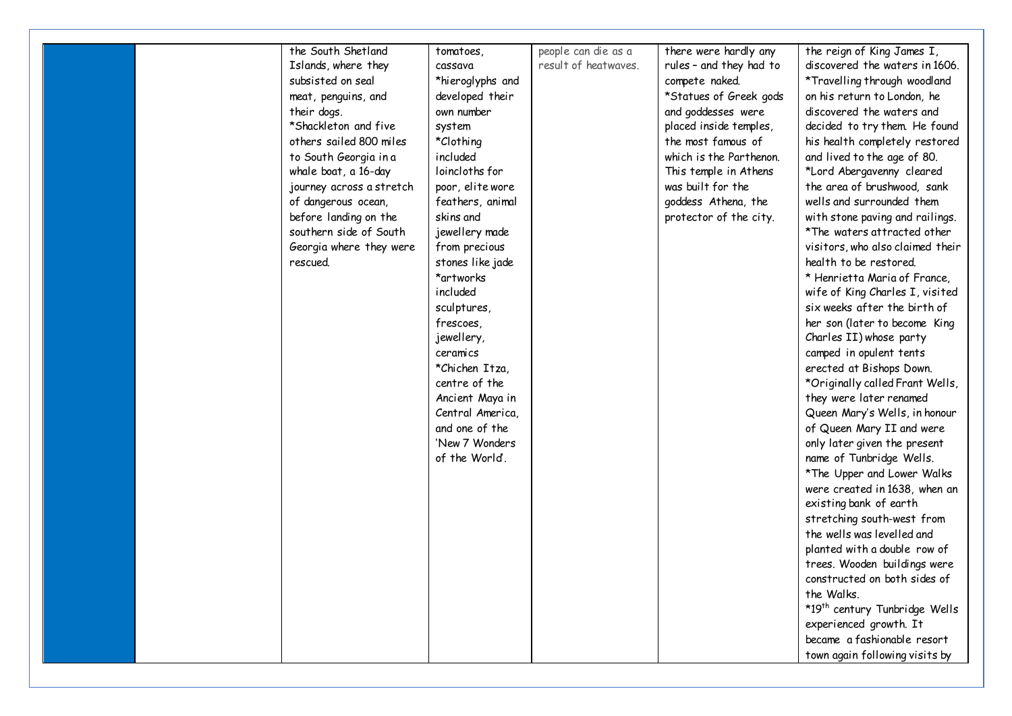| the South Shetland<br>Islands, where they<br>subsisted on seal | tomatoes,<br>cassava<br>*hieroglyphs and | people can die as a<br>result of heatwaves. | there were hardly any<br>rules - and they had to<br>compete naked. | the reign of King James I,<br>discovered the waters in 1606.<br>*Travelling through woodland |
|----------------------------------------------------------------|------------------------------------------|---------------------------------------------|--------------------------------------------------------------------|----------------------------------------------------------------------------------------------|
| meat, penguins, and                                            | developed their                          |                                             | *Statues of Greek gods                                             | on his return to London, he                                                                  |
| their dogs.                                                    | own number                               |                                             | and goddesses were                                                 | discovered the waters and                                                                    |
| *Shackleton and five                                           | system                                   |                                             | placed inside temples,                                             | decided to try them. He found                                                                |
| others sailed 800 miles                                        | *Clothing                                |                                             | the most famous of                                                 | his health completely restored                                                               |
| to South Georgia in a                                          | included                                 |                                             | which is the Parthenon.                                            | and lived to the age of 80.                                                                  |
| whale boat, a 16-day                                           | loincloths for                           |                                             | This temple in Athens                                              | *Lord Abergavenny cleared                                                                    |
| journey across a stretch                                       | poor, elite wore                         |                                             | was built for the                                                  | the area of brushwood, sank                                                                  |
| of dangerous ocean,                                            | feathers, animal                         |                                             | goddess Athena, the                                                | wells and surrounded them                                                                    |
| before landing on the                                          | skins and                                |                                             | protector of the city.                                             | with stone paving and railings.                                                              |
| southern side of South                                         | jewellery made                           |                                             |                                                                    | *The waters attracted other                                                                  |
| Georgia where they were                                        | from precious                            |                                             |                                                                    | visitors, who also claimed their                                                             |
| rescued.                                                       | stones like jade                         |                                             |                                                                    | health to be restored.                                                                       |
|                                                                | *artworks                                |                                             |                                                                    | * Henrietta Maria of France,                                                                 |
|                                                                | included                                 |                                             |                                                                    | wife of King Charles I, visited                                                              |
|                                                                | sculptures,                              |                                             |                                                                    | six weeks after the birth of                                                                 |
|                                                                | frescoes,                                |                                             |                                                                    | her son (later to become King                                                                |
|                                                                | jewellery,                               |                                             |                                                                    | Charles II) whose party                                                                      |
|                                                                | ceramics                                 |                                             |                                                                    | camped in opulent tents                                                                      |
|                                                                | *Chichen Itza,                           |                                             |                                                                    | erected at Bishops Down.                                                                     |
|                                                                | centre of the                            |                                             |                                                                    | *Originally called Frant Wells,                                                              |
|                                                                | Ancient Maya in                          |                                             |                                                                    | they were later renamed                                                                      |
|                                                                | Central America,                         |                                             |                                                                    | Queen Mary's Wells, in honour                                                                |
|                                                                | and one of the                           |                                             |                                                                    | of Queen Mary II and were                                                                    |
|                                                                | 'New 7 Wonders                           |                                             |                                                                    | only later given the present                                                                 |
|                                                                | of the World.                            |                                             |                                                                    | name of Tunbridge Wells.                                                                     |
|                                                                |                                          |                                             |                                                                    | *The Upper and Lower Walks                                                                   |
|                                                                |                                          |                                             |                                                                    | were created in 1638, when an                                                                |
|                                                                |                                          |                                             |                                                                    | existing bank of earth                                                                       |
|                                                                |                                          |                                             |                                                                    | stretching south-west from                                                                   |
|                                                                |                                          |                                             |                                                                    | the wells was levelled and                                                                   |
|                                                                |                                          |                                             |                                                                    | planted with a double row of                                                                 |
|                                                                |                                          |                                             |                                                                    | trees. Wooden buildings were                                                                 |
|                                                                |                                          |                                             |                                                                    | constructed on both sides of                                                                 |
|                                                                |                                          |                                             |                                                                    | the Walks.                                                                                   |
|                                                                |                                          |                                             |                                                                    | *19th century Tunbridge Wells                                                                |
|                                                                |                                          |                                             |                                                                    | experienced growth. It                                                                       |
|                                                                |                                          |                                             |                                                                    | became a fashionable resort                                                                  |
|                                                                |                                          |                                             |                                                                    | town again following visits by                                                               |